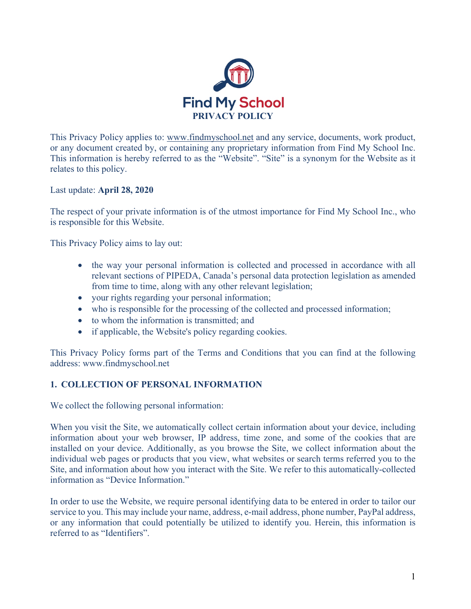

This Privacy Policy applies to: www.findmyschool.net and any service, documents, work product, or any document created by, or containing any proprietary information from Find My School Inc. This information is hereby referred to as the "Website". "Site" is a synonym for the Website as it relates to this policy.

Last update: **April 28, 2020**

The respect of your private information is of the utmost importance for Find My School Inc., who is responsible for this Website.

This Privacy Policy aims to lay out:

- the way your personal information is collected and processed in accordance with all relevant sections of PIPEDA, Canada's personal data protection legislation as amended from time to time, along with any other relevant legislation;
- your rights regarding your personal information;
- who is responsible for the processing of the collected and processed information;
- to whom the information is transmitted; and
- if applicable, the Website's policy regarding cookies.

This Privacy Policy forms part of the Terms and Conditions that you can find at the following address: www.findmyschool.net

## **1. COLLECTION OF PERSONAL INFORMATION**

We collect the following personal information:

When you visit the Site, we automatically collect certain information about your device, including information about your web browser, IP address, time zone, and some of the cookies that are installed on your device. Additionally, as you browse the Site, we collect information about the individual web pages or products that you view, what websites or search terms referred you to the Site, and information about how you interact with the Site. We refer to this automatically-collected information as "Device Information."

In order to use the Website, we require personal identifying data to be entered in order to tailor our service to you. This may include your name, address, e-mail address, phone number, PayPal address, or any information that could potentially be utilized to identify you. Herein, this information is referred to as "Identifiers".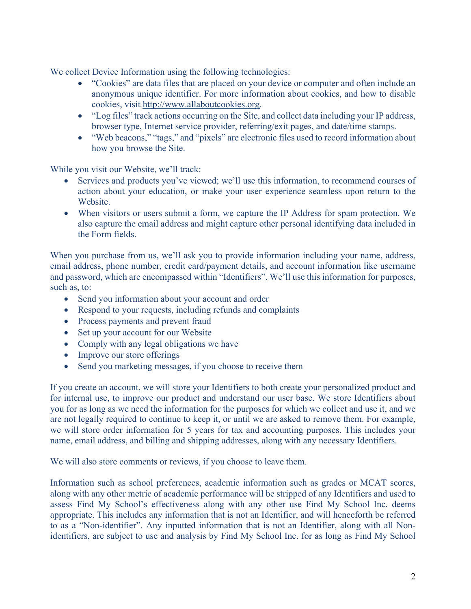We collect Device Information using the following technologies:

- "Cookies" are data files that are placed on your device or computer and often include an anonymous unique identifier. For more information about cookies, and how to disable cookies, visit http://www.allaboutcookies.org.
- "Log files" track actions occurring on the Site, and collect data including your IP address, browser type, Internet service provider, referring/exit pages, and date/time stamps.
- "Web beacons," "tags," and "pixels" are electronic files used to record information about how you browse the Site.

While you visit our Website, we'll track:

- Services and products you've viewed; we'll use this information, to recommend courses of action about your education, or make your user experience seamless upon return to the Website.
- When visitors or users submit a form, we capture the IP Address for spam protection. We also capture the email address and might capture other personal identifying data included in the Form fields.

When you purchase from us, we'll ask you to provide information including your name, address, email address, phone number, credit card/payment details, and account information like username and password, which are encompassed within "Identifiers". We'll use this information for purposes, such as, to:

- Send you information about your account and order
- Respond to your requests, including refunds and complaints
- Process payments and prevent fraud
- Set up your account for our Website
- Comply with any legal obligations we have
- Improve our store offerings
- Send you marketing messages, if you choose to receive them

If you create an account, we will store your Identifiers to both create your personalized product and for internal use, to improve our product and understand our user base. We store Identifiers about you for as long as we need the information for the purposes for which we collect and use it, and we are not legally required to continue to keep it, or until we are asked to remove them. For example, we will store order information for 5 years for tax and accounting purposes. This includes your name, email address, and billing and shipping addresses, along with any necessary Identifiers.

We will also store comments or reviews, if you choose to leave them.

Information such as school preferences, academic information such as grades or MCAT scores, along with any other metric of academic performance will be stripped of any Identifiers and used to assess Find My School's effectiveness along with any other use Find My School Inc. deems appropriate. This includes any information that is not an Identifier, and will henceforth be referred to as a "Non-identifier". Any inputted information that is not an Identifier, along with all Nonidentifiers, are subject to use and analysis by Find My School Inc. for as long as Find My School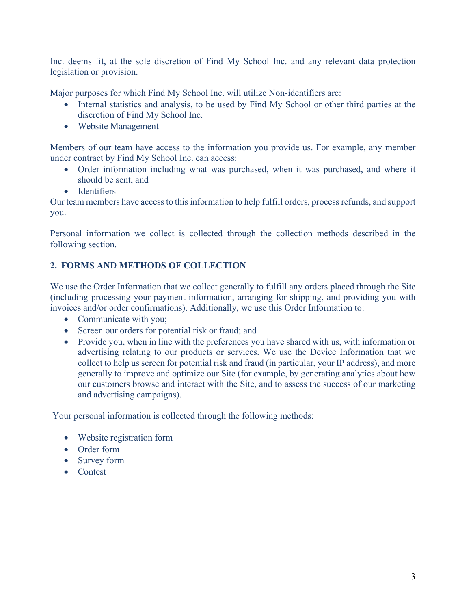Inc. deems fit, at the sole discretion of Find My School Inc. and any relevant data protection legislation or provision.

Major purposes for which Find My School Inc. will utilize Non-identifiers are:

- Internal statistics and analysis, to be used by Find My School or other third parties at the discretion of Find My School Inc.
- Website Management

Members of our team have access to the information you provide us. For example, any member under contract by Find My School Inc. can access:

- Order information including what was purchased, when it was purchased, and where it should be sent, and
- Identifiers

Our team members have access to this information to help fulfill orders, process refunds, and support you.

Personal information we collect is collected through the collection methods described in the following section.

# **2. FORMS AND METHODS OF COLLECTION**

We use the Order Information that we collect generally to fulfill any orders placed through the Site (including processing your payment information, arranging for shipping, and providing you with invoices and/or order confirmations). Additionally, we use this Order Information to:

- Communicate with you;
- Screen our orders for potential risk or fraud; and
- Provide you, when in line with the preferences you have shared with us, with information or advertising relating to our products or services. We use the Device Information that we collect to help us screen for potential risk and fraud (in particular, your IP address), and more generally to improve and optimize our Site (for example, by generating analytics about how our customers browse and interact with the Site, and to assess the success of our marketing and advertising campaigns).

Your personal information is collected through the following methods:

- Website registration form
- Order form
- Survey form
- Contest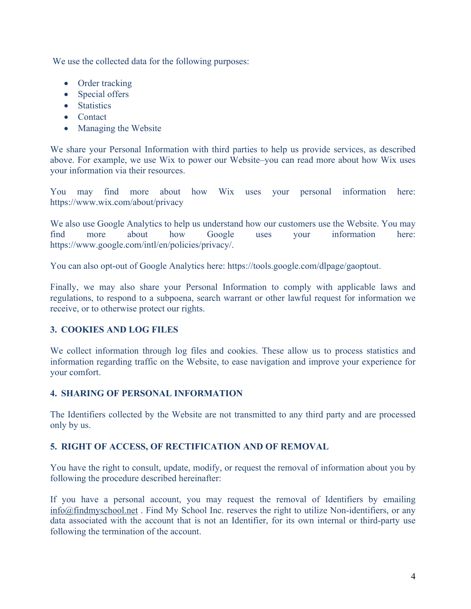We use the collected data for the following purposes:

- Order tracking
- Special offers
- Statistics
- Contact
- Managing the Website

We share your Personal Information with third parties to help us provide services, as described above. For example, we use Wix to power our Website–you can read more about how Wix uses your information via their resources.

You may find more about how Wix uses your personal information here: https://www.wix.com/about/privacy

We also use Google Analytics to help us understand how our customers use the Website. You may find more about how Google uses your information here: https://www.google.com/intl/en/policies/privacy/.

You can also opt-out of Google Analytics here: https://tools.google.com/dlpage/gaoptout.

Finally, we may also share your Personal Information to comply with applicable laws and regulations, to respond to a subpoena, search warrant or other lawful request for information we receive, or to otherwise protect our rights.

# **3. COOKIES AND LOG FILES**

We collect information through log files and cookies. These allow us to process statistics and information regarding traffic on the Website, to ease navigation and improve your experience for your comfort.

## **4. SHARING OF PERSONAL INFORMATION**

The Identifiers collected by the Website are not transmitted to any third party and are processed only by us.

# **5. RIGHT OF ACCESS, OF RECTIFICATION AND OF REMOVAL**

You have the right to consult, update, modify, or request the removal of information about you by following the procedure described hereinafter:

If you have a personal account, you may request the removal of Identifiers by emailing info@findmyschool.net . Find My School Inc. reserves the right to utilize Non-identifiers, or any data associated with the account that is not an Identifier, for its own internal or third-party use following the termination of the account.